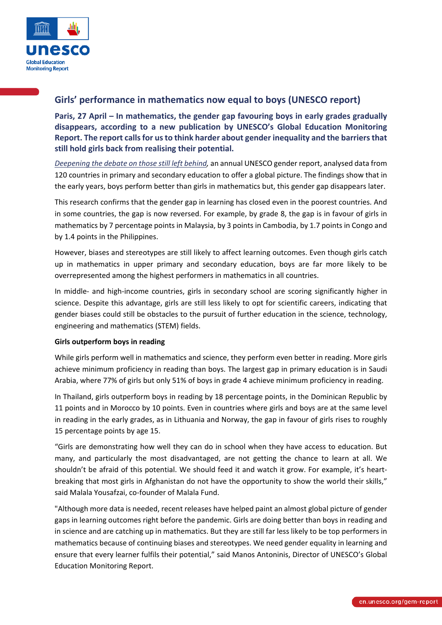

# **Girls' performance in mathematics now equal to boys (UNESCO report)**

**Paris, 27 April – In mathematics, the gender gap favouring boys in early grades gradually disappears, according to a new publication by UNESCO's Global Education Monitoring Report. The report calls for us to think harder about gender inequality and the barriers that still hold girls back from realising their potential.**

*[Deepening the debate on those still left behind,](http://bit.ly/2022genderreport)* an annual UNESCO gender report, analysed data from 120 countries in primary and secondary education to offer a global picture. The findings show that in the early years, boys perform better than girls in mathematics but, this gender gap disappears later.

This research confirms that the gender gap in learning has closed even in the poorest countries. And in some countries, the gap is now reversed. For example, by grade 8, the gap is in favour of girls in mathematics by 7 percentage points in Malaysia, by 3 points in Cambodia, by 1.7 points in Congo and by 1.4 points in the Philippines.

However, biases and stereotypes are still likely to affect learning outcomes. Even though girls catch up in mathematics in upper primary and secondary education, boys are far more likely to be overrepresented among the highest performers in mathematics in all countries.

In middle- and high-income countries, girls in secondary school are scoring significantly higher in science. Despite this advantage, girls are still less likely to opt for scientific careers, indicating that gender biases could still be obstacles to the pursuit of further education in the science, technology, engineering and mathematics (STEM) fields.

## **Girls outperform boys in reading**

While girls perform well in mathematics and science, they perform even better in reading. More girls achieve minimum proficiency in reading than boys. The largest gap in primary education is in Saudi Arabia, where 77% of girls but only 51% of boys in grade 4 achieve minimum proficiency in reading.

In Thailand, girls outperform boys in reading by 18 percentage points, in the Dominican Republic by 11 points and in Morocco by 10 points. Even in countries where girls and boys are at the same level in reading in the early grades, as in Lithuania and Norway, the gap in favour of girls rises to roughly 15 percentage points by age 15.

"Girls are demonstrating how well they can do in school when they have access to education. But many, and particularly the most disadvantaged, are not getting the chance to learn at all. We shouldn't be afraid of this potential. We should feed it and watch it grow. For example, it's heartbreaking that most girls in Afghanistan do not have the opportunity to show the world their skills," said Malala Yousafzai, co-founder of Malala Fund.

"Although more data is needed, recent releases have helped paint an almost global picture of gender gaps in learning outcomes right before the pandemic. Girls are doing better than boys in reading and in science and are catching up in mathematics. But they are still far less likely to be top performers in mathematics because of continuing biases and stereotypes. We need gender equality in learning and ensure that every learner fulfils their potential," said Manos Antoninis, Director of UNESCO's Global Education Monitoring Report.